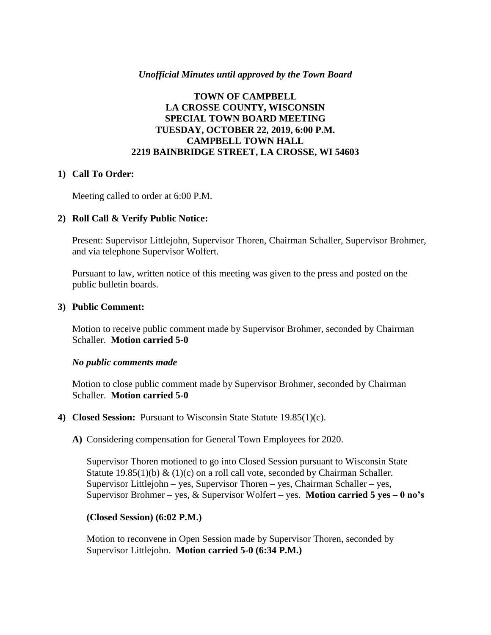### *Unofficial Minutes until approved by the Town Board*

## **TOWN OF CAMPBELL LA CROSSE COUNTY, WISCONSIN SPECIAL TOWN BOARD MEETING TUESDAY, OCTOBER 22, 2019, 6:00 P.M. CAMPBELL TOWN HALL 2219 BAINBRIDGE STREET, LA CROSSE, WI 54603**

#### **1) Call To Order:**

Meeting called to order at 6:00 P.M.

### **2) Roll Call & Verify Public Notice:**

Present: Supervisor Littlejohn, Supervisor Thoren, Chairman Schaller, Supervisor Brohmer, and via telephone Supervisor Wolfert.

Pursuant to law, written notice of this meeting was given to the press and posted on the public bulletin boards.

#### **3) Public Comment:**

Motion to receive public comment made by Supervisor Brohmer, seconded by Chairman Schaller. **Motion carried 5-0**

#### *No public comments made*

Motion to close public comment made by Supervisor Brohmer, seconded by Chairman Schaller. **Motion carried 5-0**

- **4) Closed Session:** Pursuant to Wisconsin State Statute 19.85(1)(c).
	- **A)** Considering compensation for General Town Employees for 2020.

Supervisor Thoren motioned to go into Closed Session pursuant to Wisconsin State Statute 19.85(1)(b) & (1)(c) on a roll call vote, seconded by Chairman Schaller. Supervisor Littlejohn – yes, Supervisor Thoren – yes, Chairman Schaller – yes, Supervisor Brohmer – yes, & Supervisor Wolfert – yes. **Motion carried 5 yes – 0 no's**

### **(Closed Session) (6:02 P.M.)**

Motion to reconvene in Open Session made by Supervisor Thoren, seconded by Supervisor Littlejohn. **Motion carried 5-0 (6:34 P.M.)**